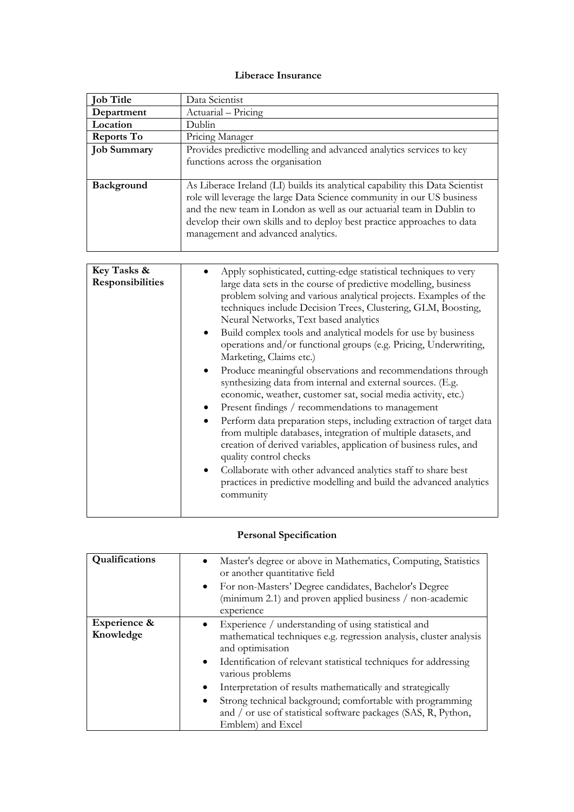## **Liberace Insurance**

| <b>Job Title</b>                | Data Scientist                                                                                                                                                                                                                                                                                                                                                                                                                                                                                                                                                                                                                                                                                                                                                                                                                                                                                                                                                                                                                                                                                                                        |
|---------------------------------|---------------------------------------------------------------------------------------------------------------------------------------------------------------------------------------------------------------------------------------------------------------------------------------------------------------------------------------------------------------------------------------------------------------------------------------------------------------------------------------------------------------------------------------------------------------------------------------------------------------------------------------------------------------------------------------------------------------------------------------------------------------------------------------------------------------------------------------------------------------------------------------------------------------------------------------------------------------------------------------------------------------------------------------------------------------------------------------------------------------------------------------|
| Department                      | Actuarial - Pricing                                                                                                                                                                                                                                                                                                                                                                                                                                                                                                                                                                                                                                                                                                                                                                                                                                                                                                                                                                                                                                                                                                                   |
| Location                        | Dublin                                                                                                                                                                                                                                                                                                                                                                                                                                                                                                                                                                                                                                                                                                                                                                                                                                                                                                                                                                                                                                                                                                                                |
| <b>Reports To</b>               | Pricing Manager                                                                                                                                                                                                                                                                                                                                                                                                                                                                                                                                                                                                                                                                                                                                                                                                                                                                                                                                                                                                                                                                                                                       |
| <b>Job Summary</b>              | Provides predictive modelling and advanced analytics services to key<br>functions across the organisation                                                                                                                                                                                                                                                                                                                                                                                                                                                                                                                                                                                                                                                                                                                                                                                                                                                                                                                                                                                                                             |
| Background                      | As Liberace Ireland (LI) builds its analytical capability this Data Scientist<br>role will leverage the large Data Science community in our US business<br>and the new team in London as well as our actuarial team in Dublin to<br>develop their own skills and to deploy best practice approaches to data<br>management and advanced analytics.                                                                                                                                                                                                                                                                                                                                                                                                                                                                                                                                                                                                                                                                                                                                                                                     |
|                                 |                                                                                                                                                                                                                                                                                                                                                                                                                                                                                                                                                                                                                                                                                                                                                                                                                                                                                                                                                                                                                                                                                                                                       |
| Key Tasks &<br>Responsibilities | Apply sophisticated, cutting-edge statistical techniques to very<br>large data sets in the course of predictive modelling, business<br>problem solving and various analytical projects. Examples of the<br>techniques include Decision Trees, Clustering, GLM, Boosting,<br>Neural Networks, Text based analytics<br>Build complex tools and analytical models for use by business<br>٠<br>operations and/or functional groups (e.g. Pricing, Underwriting,<br>Marketing, Claims etc.)<br>Produce meaningful observations and recommendations through<br>synthesizing data from internal and external sources. (E.g.<br>economic, weather, customer sat, social media activity, etc.)<br>Present findings / recommendations to management<br>Perform data preparation steps, including extraction of target data<br>from multiple databases, integration of multiple datasets, and<br>creation of derived variables, application of business rules, and<br>quality control checks<br>Collaborate with other advanced analytics staff to share best<br>practices in predictive modelling and build the advanced analytics<br>community |

## **Personal Specification**

| Qualifications            | Master's degree or above in Mathematics, Computing, Statistics<br>or another quantitative field<br>For non-Masters' Degree candidates, Bachelor's Degree<br>$\bullet$<br>(minimum 2.1) and proven applied business / non-academic<br>experience                                                                                                                                                                                                                           |
|---------------------------|---------------------------------------------------------------------------------------------------------------------------------------------------------------------------------------------------------------------------------------------------------------------------------------------------------------------------------------------------------------------------------------------------------------------------------------------------------------------------|
| Experience &<br>Knowledge | Experience / understanding of using statistical and<br>mathematical techniques e.g. regression analysis, cluster analysis<br>and optimisation<br>Identification of relevant statistical techniques for addressing<br>$\bullet$<br>various problems<br>Interpretation of results mathematically and strategically<br>Strong technical background; comfortable with programming<br>٠<br>and / or use of statistical software packages (SAS, R, Python,<br>Emblem) and Excel |